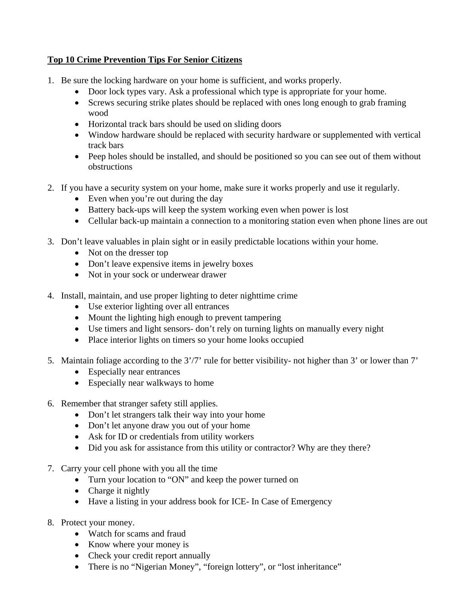## **Top 10 Crime Prevention Tips For Senior Citizens**

- 1. Be sure the locking hardware on your home is sufficient, and works properly.
	- Door lock types vary. Ask a professional which type is appropriate for your home.
	- Screws securing strike plates should be replaced with ones long enough to grab framing wood
	- Horizontal track bars should be used on sliding doors
	- Window hardware should be replaced with security hardware or supplemented with vertical track bars
	- Peep holes should be installed, and should be positioned so you can see out of them without obstructions
- 2. If you have a security system on your home, make sure it works properly and use it regularly.
	- Even when you're out during the day
	- Battery back-ups will keep the system working even when power is lost
	- Cellular back-up maintain a connection to a monitoring station even when phone lines are out
- 3. Don't leave valuables in plain sight or in easily predictable locations within your home.
	- Not on the dresser top
	- Don't leave expensive items in jewelry boxes
	- Not in your sock or underwear drawer
- 4. Install, maintain, and use proper lighting to deter nighttime crime
	- Use exterior lighting over all entrances
	- Mount the lighting high enough to prevent tampering
	- Use timers and light sensors- don't rely on turning lights on manually every night
	- Place interior lights on timers so your home looks occupied
- 5. Maintain foliage according to the 3'/7' rule for better visibility- not higher than 3' or lower than 7'
	- Especially near entrances
	- Especially near walkways to home
- 6. Remember that stranger safety still applies.
	- Don't let strangers talk their way into your home
	- Don't let anyone draw you out of your home
	- Ask for ID or credentials from utility workers
	- Did you ask for assistance from this utility or contractor? Why are they there?
- 7. Carry your cell phone with you all the time
	- Turn your location to "ON" and keep the power turned on
	- Charge it nightly
	- Have a listing in your address book for ICE- In Case of Emergency
- 8. Protect your money.
	- Watch for scams and fraud
	- Know where your money is
	- Check your credit report annually
	- There is no "Nigerian Money", "foreign lottery", or "lost inheritance"